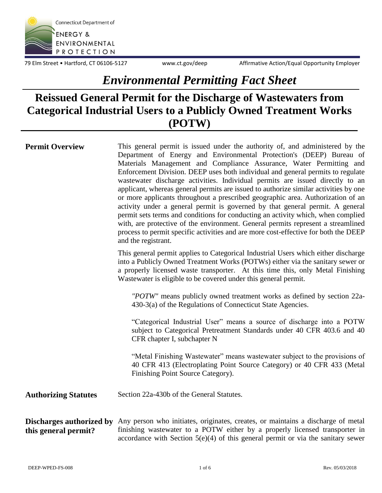

79 Elm Street • Hartford, CT 06106-5127 www.ct.gov/deep Affirmative Action/Equal Opportunity Employer

## *Environmental Permitting Fact Sheet*

## **Reissued General Permit for the Discharge of Wastewaters from Categorical Industrial Users to a Publicly Owned Treatment Works (POTW)**

| <b>Permit Overview</b>      | This general permit is issued under the authority of, and administered by the<br>Department of Energy and Environmental Protection's (DEEP) Bureau of<br>Materials Management and Compliance Assurance, Water Permitting and<br>Enforcement Division. DEEP uses both individual and general permits to regulate<br>wastewater discharge activities. Individual permits are issued directly to an<br>applicant, whereas general permits are issued to authorize similar activities by one<br>or more applicants throughout a prescribed geographic area. Authorization of an<br>activity under a general permit is governed by that general permit. A general<br>permit sets terms and conditions for conducting an activity which, when complied<br>with, are protective of the environment. General permits represent a streamlined<br>process to permit specific activities and are more cost-effective for both the DEEP<br>and the registrant. |
|-----------------------------|----------------------------------------------------------------------------------------------------------------------------------------------------------------------------------------------------------------------------------------------------------------------------------------------------------------------------------------------------------------------------------------------------------------------------------------------------------------------------------------------------------------------------------------------------------------------------------------------------------------------------------------------------------------------------------------------------------------------------------------------------------------------------------------------------------------------------------------------------------------------------------------------------------------------------------------------------|
|                             | This general permit applies to Categorical Industrial Users which either discharge<br>into a Publicly Owned Treatment Works (POTWs) either via the sanitary sewer or<br>a properly licensed waste transporter. At this time this, only Metal Finishing<br>Wastewater is eligible to be covered under this general permit.                                                                                                                                                                                                                                                                                                                                                                                                                                                                                                                                                                                                                          |
|                             | "POTW" means publicly owned treatment works as defined by section 22a-<br>430-3(a) of the Regulations of Connecticut State Agencies.                                                                                                                                                                                                                                                                                                                                                                                                                                                                                                                                                                                                                                                                                                                                                                                                               |
|                             | "Categorical Industrial User" means a source of discharge into a POTW<br>subject to Categorical Pretreatment Standards under 40 CFR 403.6 and 40<br>CFR chapter I, subchapter N                                                                                                                                                                                                                                                                                                                                                                                                                                                                                                                                                                                                                                                                                                                                                                    |
|                             | "Metal Finishing Wastewater" means wastewater subject to the provisions of<br>40 CFR 413 (Electroplating Point Source Category) or 40 CFR 433 (Metal<br>Finishing Point Source Category).                                                                                                                                                                                                                                                                                                                                                                                                                                                                                                                                                                                                                                                                                                                                                          |
| <b>Authorizing Statutes</b> | Section 22a-430b of the General Statutes.                                                                                                                                                                                                                                                                                                                                                                                                                                                                                                                                                                                                                                                                                                                                                                                                                                                                                                          |
| this general permit?        | Discharges authorized by Any person who initiates, originates, creates, or maintains a discharge of metal<br>finishing wastewater to a POTW either by a properly licensed transporter in                                                                                                                                                                                                                                                                                                                                                                                                                                                                                                                                                                                                                                                                                                                                                           |

accordance with Section 5(e)(4) of this general permit or via the sanitary sewer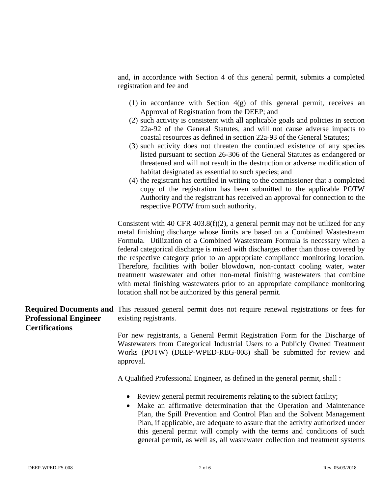and, in accordance with Section 4 of this general permit, submits a completed registration and fee and

- (1) in accordance with Section 4(g) of this general permit, receives an Approval of Registration from the DEEP; and
- (2) such activity is consistent with all applicable goals and policies in section 22a-92 of the General Statutes, and will not cause adverse impacts to coastal resources as defined in section 22a-93 of the General Statutes;
- (3) such activity does not threaten the continued existence of any species listed pursuant to section 26-306 of the General Statutes as endangered or threatened and will not result in the destruction or adverse modification of habitat designated as essential to such species; and
- (4) the registrant has certified in writing to the commissioner that a completed copy of the registration has been submitted to the applicable POTW Authority and the registrant has received an approval for connection to the respective POTW from such authority.

Consistent with 40 CFR 403.8(f)(2), a general permit may not be utilized for any metal finishing discharge whose limits are based on a Combined Wastestream Formula. Utilization of a Combined Wastestream Formula is necessary when a federal categorical discharge is mixed with discharges other than those covered by the respective category prior to an appropriate compliance monitoring location. Therefore, facilities with boiler blowdown, non-contact cooling water, water treatment wastewater and other non-metal finishing wastewaters that combine with metal finishing wastewaters prior to an appropriate compliance monitoring location shall not be authorized by this general permit.

## **Required Documents and**  This reissued general permit does not require renewal registrations or fees for **Professional Engineer Certifications** existing registrants.

For new registrants, a General Permit Registration Form for the Discharge of Wastewaters from Categorical Industrial Users to a Publicly Owned Treatment Works (POTW) (DEEP-WPED-REG-008) shall be submitted for review and approval.

A Qualified Professional Engineer, as defined in the general permit, shall :

- Review general permit requirements relating to the subject facility;
- Make an affirmative determination that the Operation and Maintenance Plan, the Spill Prevention and Control Plan and the Solvent Management Plan, if applicable, are adequate to assure that the activity authorized under this general permit will comply with the terms and conditions of such general permit, as well as, all wastewater collection and treatment systems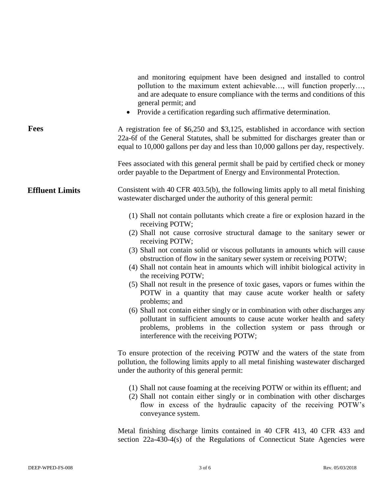|                        | and monitoring equipment have been designed and installed to control<br>pollution to the maximum extent achievable, will function properly,<br>and are adequate to ensure compliance with the terms and conditions of this<br>general permit; and<br>Provide a certification regarding such affirmative determination.<br>$\bullet$                                                                                                                                                                                                                                                                                                                                                                                                                                                                                                                                                                                 |
|------------------------|---------------------------------------------------------------------------------------------------------------------------------------------------------------------------------------------------------------------------------------------------------------------------------------------------------------------------------------------------------------------------------------------------------------------------------------------------------------------------------------------------------------------------------------------------------------------------------------------------------------------------------------------------------------------------------------------------------------------------------------------------------------------------------------------------------------------------------------------------------------------------------------------------------------------|
| <b>Fees</b>            | A registration fee of \$6,250 and \$3,125, established in accordance with section<br>22a-6f of the General Statutes, shall be submitted for discharges greater than or<br>equal to 10,000 gallons per day and less than 10,000 gallons per day, respectively.                                                                                                                                                                                                                                                                                                                                                                                                                                                                                                                                                                                                                                                       |
|                        | Fees associated with this general permit shall be paid by certified check or money<br>order payable to the Department of Energy and Environmental Protection.                                                                                                                                                                                                                                                                                                                                                                                                                                                                                                                                                                                                                                                                                                                                                       |
| <b>Effluent Limits</b> | Consistent with 40 CFR 403.5(b), the following limits apply to all metal finishing<br>was tewater discharged under the authority of this general permit:                                                                                                                                                                                                                                                                                                                                                                                                                                                                                                                                                                                                                                                                                                                                                            |
|                        | (1) Shall not contain pollutants which create a fire or explosion hazard in the<br>receiving POTW;<br>(2) Shall not cause corrosive structural damage to the sanitary sewer or<br>receiving POTW;<br>(3) Shall not contain solid or viscous pollutants in amounts which will cause<br>obstruction of flow in the sanitary sewer system or receiving POTW;<br>(4) Shall not contain heat in amounts which will inhibit biological activity in<br>the receiving POTW;<br>(5) Shall not result in the presence of toxic gases, vapors or fumes within the<br>POTW in a quantity that may cause acute worker health or safety<br>problems; and<br>(6) Shall not contain either singly or in combination with other discharges any<br>pollutant in sufficient amounts to cause acute worker health and safety<br>problems, problems in the collection system or pass through or<br>interference with the receiving POTW; |
|                        | To ensure protection of the receiving POTW and the waters of the state from<br>pollution, the following limits apply to all metal finishing wastewater discharged<br>under the authority of this general permit:                                                                                                                                                                                                                                                                                                                                                                                                                                                                                                                                                                                                                                                                                                    |
|                        | (1) Shall not cause foaming at the receiving POTW or within its effluent; and<br>(2) Shall not contain either singly or in combination with other discharges<br>flow in excess of the hydraulic capacity of the receiving POTW's<br>conveyance system.                                                                                                                                                                                                                                                                                                                                                                                                                                                                                                                                                                                                                                                              |

Metal finishing discharge limits contained in 40 CFR 413, 40 CFR 433 and section 22a-430-4(s) of the Regulations of Connecticut State Agencies were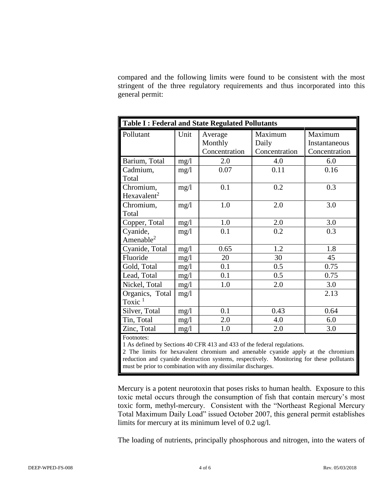compared and the following limits were found to be consistent with the most stringent of the three regulatory requirements and thus incorporated into this general permit:

| <b>Table I: Federal and State Regulated Pollutants</b> |      |                                     |                                   |                                           |
|--------------------------------------------------------|------|-------------------------------------|-----------------------------------|-------------------------------------------|
| Pollutant                                              | Unit | Average<br>Monthly<br>Concentration | Maximum<br>Daily<br>Concentration | Maximum<br>Instantaneous<br>Concentration |
| Barium, Total                                          | mg/1 | 2.0                                 | 4.0                               | 6.0                                       |
| Cadmium,<br>Total                                      | mg/1 | 0.07                                | 0.11                              | 0.16                                      |
| Chromium,<br>Hexavalent <sup>2</sup>                   | mg/l | 0.1                                 | 0.2                               | 0.3                                       |
| Chromium,<br>Total                                     | mg/1 | 1.0                                 | 2.0                               | 3.0                                       |
| Copper, Total                                          | mg/1 | 1.0                                 | 2.0                               | 3.0                                       |
| Cyanide,<br>Amenable $2$                               | mg/1 | 0.1                                 | 0.2                               | 0.3                                       |
| Cyanide, Total                                         | mg/l | 0.65                                | 1.2                               | 1.8                                       |
| Fluoride                                               | mg/1 | 20                                  | 30                                | 45                                        |
| Gold, Total                                            | mg/1 | 0.1                                 | 0.5                               | 0.75                                      |
| Lead, Total                                            | mg/1 | 0.1                                 | 0.5                               | 0.75                                      |
| Nickel, Total                                          | mg/1 | 1.0                                 | 2.0                               | 3.0                                       |
| Organics, Total<br>Toxic $1$                           | mg/1 |                                     |                                   | 2.13                                      |
| Silver, Total                                          | mg/1 | 0.1                                 | 0.43                              | 0.64                                      |
| Tin, Total                                             | mg/1 | 2.0                                 | 4.0                               | 6.0                                       |
| Zinc, Total                                            | mg/1 | 1.0                                 | 2.0                               | 3.0                                       |
| $E_{\text{O}}$                                         |      |                                     |                                   |                                           |

Footnotes:

1 As defined by Sections 40 CFR 413 and 433 of the federal regulations.

2 The limits for hexavalent chromium and amenable cyanide apply at the chromium reduction and cyanide destruction systems, respectively. Monitoring for these pollutants must be prior to combination with any dissimilar discharges.

Mercury is a potent neurotoxin that poses risks to human health. Exposure to this toxic metal occurs through the consumption of fish that contain mercury's most toxic form, methyl-mercury. Consistent with the "Northeast Regional Mercury Total Maximum Daily Load" issued October 2007, this general permit establishes limits for mercury at its minimum level of 0.2 ug/l.

The loading of nutrients, principally phosphorous and nitrogen, into the waters of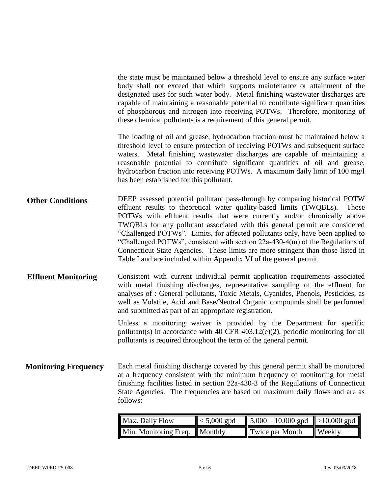the state must be maintained below a threshold level to ensure any surface water body shall not exceed that which supports maintenance or attainment of the designated uses for such water body. Metal finishing wastewater discharges are capable of maintaining a reasonable potential to contribute significant quantities of phosphorous and nitrogen into receiving POTWs. Therefore, monitoring of these chemical pollutants is a requirement of this general permit.

The loading of oil and grease, hydrocarbon fraction must be maintained below a threshold level to ensure protection of receiving POTWs and subsequent surface waters. Metal finishing wastewater discharges are capable of maintaining a reasonable potential to contribute significant quantities of oil and grease, hydrocarbon fraction into receiving POTWs. A maximum daily limit of 100 mg/l has been established for this pollutant.

- **Other Conditions** DEEP assessed potential pollutant pass-through by comparing historical POTW effluent results to theoretical water quality-based limits (TWQBLs). Those POTWs with effluent results that were currently and/or chronically above TWQBLs for any pollutant associated with this general permit are considered "Challenged POTWs". Limits, for affected pollutants only, have been applied to "Challenged POTWs", consistent with section 22a-430-4(m) of the Regulations of Connecticut State Agencies. These limits are more stringent than those listed in Table I and are included within Appendix VI of the general permit.
- **Effluent Monitoring** Consistent with current individual permit application requirements associated with metal finishing discharges, representative sampling of the effluent for analyses of : General pollutants, Toxic Metals, Cyanides, Phenols, Pesticides, as well as Volatile, Acid and Base/Neutral Organic compounds shall be performed and submitted as part of an appropriate registration.

Unless a monitoring waiver is provided by the Department for specific pollutant(s) in accordance with 40 CFR 403.12(e)(2), periodic monitoring for all pollutants is required throughout the term of the general permit.

**Monitoring Frequency** Each metal finishing discharge covered by this general permit shall be monitored at a frequency consistent with the minimum frequency of monitoring for metal finishing facilities listed in section 22a-430-3 of the Regulations of Connecticut State Agencies. The frequencies are based on maximum daily flows and are as follows:

| Max. Daily Flow               | $\vert$ < 5,000 gpd | $\parallel$ 5,000 – 10,000 gpd $\parallel$ >10,000 gpd $\parallel$ |               |
|-------------------------------|---------------------|--------------------------------------------------------------------|---------------|
| Min. Monitoring Freq. Monthly |                     | Twice per Month                                                    | <b>Weekly</b> |